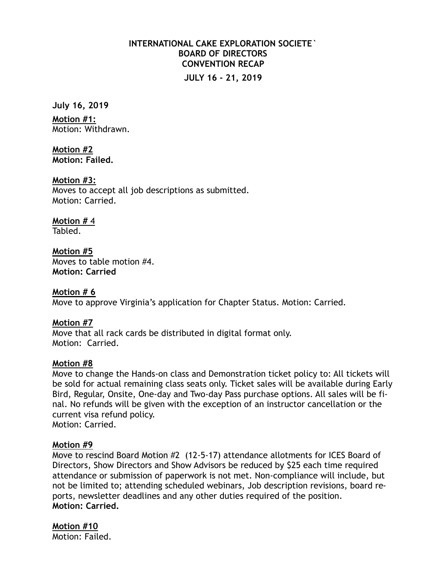# **INTERNATIONAL CAKE EXPLORATION SOCIETE` BOARD OF DIRECTORS CONVENTION RECAP JULY 16 - 21, 2019**

**July 16, 2019** 

**Motion #1:** Motion: Withdrawn.

**Motion #2 Motion: Failed.** 

**Motion #3:** Moves to accept all job descriptions as submitted. Motion: Carried.

**Motion #** 4 Tabled.

**Motion #5** Moves to table motion #4. **Motion: Carried** 

**Motion # 6**  Move to approve Virginia's application for Chapter Status. Motion: Carried.

**Motion #7**  Move that all rack cards be distributed in digital format only. Motion: Carried.

# **Motion #8**

Move to change the Hands-on class and Demonstration ticket policy to: All tickets will be sold for actual remaining class seats only. Ticket sales will be available during Early Bird, Regular, Onsite, One-day and Two-day Pass purchase options. All sales will be final. No refunds will be given with the exception of an instructor cancellation or the current visa refund policy. Motion: Carried.

**Motion #9** 

Move to rescind Board Motion #2 (12-5-17) attendance allotments for ICES Board of Directors, Show Directors and Show Advisors be reduced by \$25 each time required attendance or submission of paperwork is not met. Non-compliance will include, but not be limited to; attending scheduled webinars, Job description revisions, board reports, newsletter deadlines and any other duties required of the position. **Motion: Carried.** 

**Motion #10**  Motion: Failed.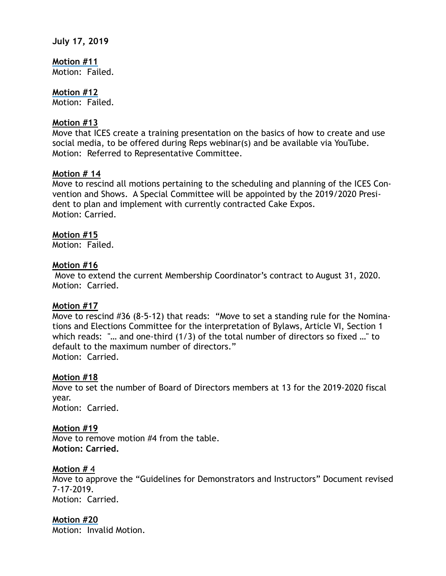#### **July 17, 2019**

**Motion #11** Motion: Failed.

**Motion #12** Motion: Failed.

### **Motion #13**

Move that ICES create a training presentation on the basics of how to create and use social media, to be offered during Reps webinar(s) and be available via YouTube. Motion: Referred to Representative Committee.

### **Motion # 14**

Move to rescind all motions pertaining to the scheduling and planning of the ICES Convention and Shows. A Special Committee will be appointed by the 2019/2020 President to plan and implement with currently contracted Cake Expos. Motion: Carried.

### **Motion #15**

Motion: Failed.

### **Motion #16**

Move to extend the current Membership Coordinator's contract to August 31, 2020. Motion: Carried.

### **Motion #17**

Move to rescind #36 (8-5-12) that reads: "Move to set a standing rule for the Nominations and Elections Committee for the interpretation of Bylaws, Article VI, Section 1 which reads: "... and one-third (1/3) of the total number of directors so fixed ..." to default to the maximum number of directors." Motion: Carried.

### **Motion #18**

Move to set the number of Board of Directors members at 13 for the 2019-2020 fiscal year. Motion: Carried.

### **Motion #19**

Move to remove motion #4 from the table. **Motion: Carried.** 

### **Motion #** 4

Move to approve the "Guidelines for Demonstrators and Instructors" Document revised 7-17-2019. Motion: Carried.

### **Motion #20**

Motion: Invalid Motion.